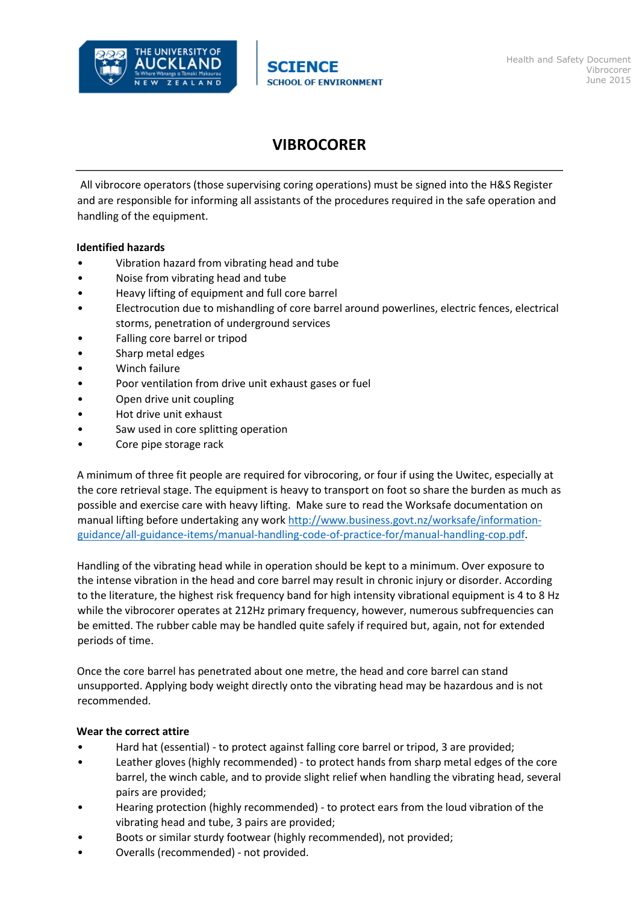

## **VIBROCORER**

All vibrocore operators (those supervising coring operations) must be signed into the H&S Register and are responsible for informing all assistants of the procedures required in the safe operation and handling of the equipment.

## **Identified hazards**

- Vibration hazard from vibrating head and tube
- Noise from vibrating head and tube
- Heavy lifting of equipment and full core barrel
- Electrocution due to mishandling of core barrel around powerlines, electric fences, electrical storms, penetration of underground services
- Falling core barrel or tripod
- Sharp metal edges
- Winch failure
- Poor ventilation from drive unit exhaust gases or fuel
- Open drive unit coupling
- Hot drive unit exhaust
- Saw used in core splitting operation
- Core pipe storage rack

A minimum of three fit people are required for vibrocoring, or four if using the Uwitec, especially at the core retrieval stage. The equipment is heavy to transport on foot so share the burden as much as possible and exercise care with heavy lifting. Make sure to read the Worksafe documentation on manual lifting before undertaking any wor[k http://www.business.govt.nz/worksafe/information](http://www.business.govt.nz/worksafe/information-guidance/all-guidance-items/manual-handling-code-of-practice-for/manual-handling-cop.pdf)[guidance/all-guidance-items/manual-handling-code-of-practice-for/manual-handling-cop.pdf.](http://www.business.govt.nz/worksafe/information-guidance/all-guidance-items/manual-handling-code-of-practice-for/manual-handling-cop.pdf)

Handling of the vibrating head while in operation should be kept to a minimum. Over exposure to the intense vibration in the head and core barrel may result in chronic injury or disorder. According to the literature, the highest risk frequency band for high intensity vibrational equipment is 4 to 8 Hz while the vibrocorer operates at 212Hz primary frequency, however, numerous subfrequencies can be emitted. The rubber cable may be handled quite safely if required but, again, not for extended periods of time.

Once the core barrel has penetrated about one metre, the head and core barrel can stand unsupported. Applying body weight directly onto the vibrating head may be hazardous and is not recommended.

## **Wear the correct attire**

- Hard hat (essential) ‐ to protect against falling core barrel or tripod, 3 are provided;
- Leather gloves (highly recommended) ‐ to protect hands from sharp metal edges of the core barrel, the winch cable, and to provide slight relief when handling the vibrating head, several pairs are provided;
- Hearing protection (highly recommended) ‐ to protect ears from the loud vibration of the vibrating head and tube, 3 pairs are provided;
- Boots or similar sturdy footwear (highly recommended), not provided;
- Overalls (recommended) ‐ not provided.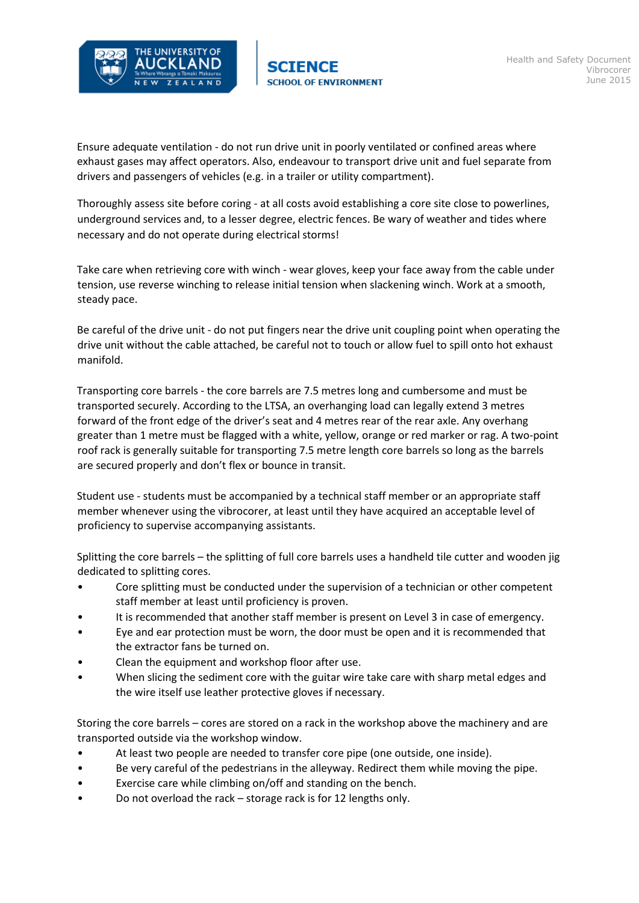

Ensure adequate ventilation ‐ do not run drive unit in poorly ventilated or confined areas where exhaust gases may affect operators. Also, endeavour to transport drive unit and fuel separate from drivers and passengers of vehicles (e.g. in a trailer or utility compartment).

Thoroughly assess site before coring ‐ at all costs avoid establishing a core site close to powerlines, underground services and, to a lesser degree, electric fences. Be wary of weather and tides where necessary and do not operate during electrical storms!

Take care when retrieving core with winch ‐ wear gloves, keep your face away from the cable under tension, use reverse winching to release initial tension when slackening winch. Work at a smooth, steady pace.

Be careful of the drive unit - do not put fingers near the drive unit coupling point when operating the drive unit without the cable attached, be careful not to touch or allow fuel to spill onto hot exhaust manifold.

Transporting core barrels ‐ the core barrels are 7.5 metres long and cumbersome and must be transported securely. According to the LTSA, an overhanging load can legally extend 3 metres forward of the front edge of the driver's seat and 4 metres rear of the rear axle. Any overhang greater than 1 metre must be flagged with a white, yellow, orange or red marker or rag. A two-point roof rack is generally suitable for transporting 7.5 metre length core barrels so long as the barrels are secured properly and don't flex or bounce in transit.

Student use ‐ students must be accompanied by a technical staff member or an appropriate staff member whenever using the vibrocorer, at least until they have acquired an acceptable level of proficiency to supervise accompanying assistants.

Splitting the core barrels – the splitting of full core barrels uses a handheld tile cutter and wooden jig dedicated to splitting cores.

- Core splitting must be conducted under the supervision of a technician or other competent staff member at least until proficiency is proven.
- It is recommended that another staff member is present on Level 3 in case of emergency.
- Eye and ear protection must be worn, the door must be open and it is recommended that the extractor fans be turned on.
- Clean the equipment and workshop floor after use.
- When slicing the sediment core with the guitar wire take care with sharp metal edges and the wire itself use leather protective gloves if necessary.

Storing the core barrels – cores are stored on a rack in the workshop above the machinery and are transported outside via the workshop window.

- At least two people are needed to transfer core pipe (one outside, one inside).
- Be very careful of the pedestrians in the alleyway. Redirect them while moving the pipe.
- Exercise care while climbing on/off and standing on the bench.
- Do not overload the rack storage rack is for 12 lengths only.